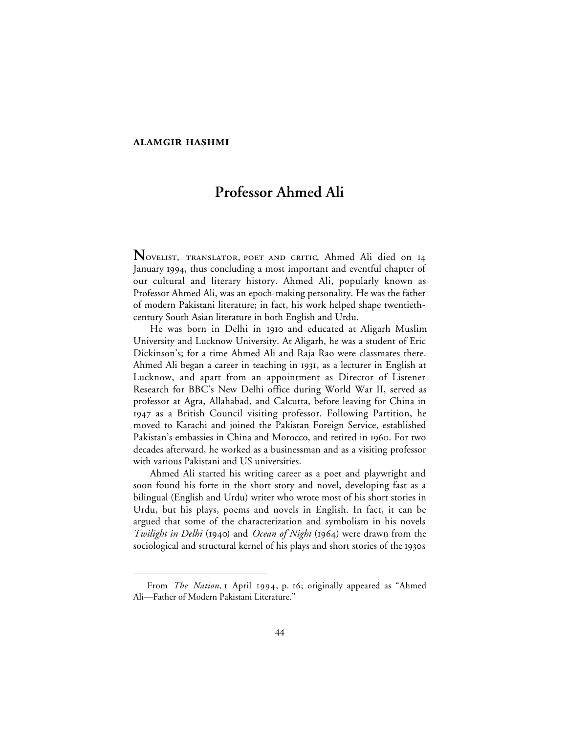## **ALAMGIR HASHMI**

 $\overline{a}$ 

## **Professor Ahmed Ali**

NOVELIST, TRANSLATOR, POET AND CRITIC, Ahmed Ali died on 14 January 1994, thus concluding a most important and eventful chapter of our cultural and literary history. Ahmed Ali, popularly known as Professor Ahmed Ali, was an epoch-making personality. He was the father of modern Pakistani literature; in fact, his work helped shape twentiethcentury South Asian literature in both English and Urdu.

He was born in Delhi in 1910 and educated at Aligarh Muslim University and Lucknow University. At Aligarh, he was a student of Eric Dickinson's; for a time Ahmed Ali and Raja Rao were classmates there. Ahmed Ali began a career in teaching in 1931, as a lecturer in English at Lucknow, and apart from an appointment as Director of Listener Research for BBC's New Delhi office during World War II, served as professor at Agra, Allahabad, and Calcutta, before leaving for China in as a British Council visiting professor. Following Partition, he moved to Karachi and joined the Pakistan Foreign Service, established Pakistan's embassies in China and Morocco, and retired in 1960. For two decades afterward, he worked as a businessman and as a visiting professor with various Pakistani and US universities.

Ahmed Ali started his writing career as a poet and playwright and soon found his forte in the short story and novel, developing fast as a bilingual (English and Urdu) writer who wrote most of his short stories in Urdu, but his plays, poems and novels in English. In fact, it can be argued that some of the characterization and symbolism in his novels *Twilight in Delhi* (1940) and *Ocean of Night* (1964) were drawn from the sociological and structural kernel of his plays and short stories of the 1930s

From *The Nation*, I April 1994, p. 16; originally appeared as "Ahmed Ali—Father of Modern Pakistani Literature."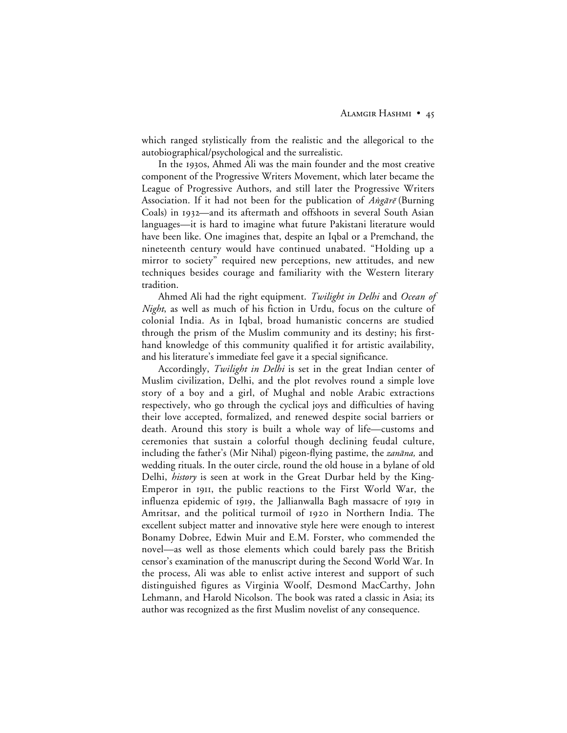which ranged stylistically from the realistic and the allegorical to the autobiographical/psychological and the surrealistic.

In the 1930s, Ahmed Ali was the main founder and the most creative component of the Progressive Writers Movement, which later became the League of Progressive Authors, and still later the Progressive Writers Association. If it had not been for the publication of  $\hat{Ang\}ar\tilde{e}$  (Burning Coals) in 1932—and its aftermath and offshoots in several South Asian languages—it is hard to imagine what future Pakistani literature would have been like. One imagines that, despite an Iqbal or a Premchand, the nineteenth century would have continued unabated. "Holding up a mirror to society" required new perceptions, new attitudes, and new techniques besides courage and familiarity with the Western literary tradition.

Ahmed Ali had the right equipment. *Twilight in Delhi* and *Ocean of Night*, as well as much of his fiction in Urdu, focus on the culture of colonial India. As in Iqbal, broad humanistic concerns are studied through the prism of the Muslim community and its destiny; his firsthand knowledge of this community qualified it for artistic availability, and his literature's immediate feel gave it a special significance.

Accordingly, *Twilight in Delhi* is set in the great Indian center of Muslim civilization, Delhi, and the plot revolves round a simple love story of a boy and a girl, of Mughal and noble Arabic extractions respectively, who go through the cyclical joys and difficulties of having their love accepted, formalized, and renewed despite social barriers or death. Around this story is built a whole way of life—customs and ceremonies that sustain a colorful though declining feudal culture, including the father's (Mir Nihal) pigeon-flying pastime, the *zanāna*, and wedding rituals. In the outer circle, round the old house in a bylane of old Delhi, *history* is seen at work in the Great Durbar held by the King-Emperor in 1911, the public reactions to the First World War, the influenza epidemic of 1919, the Jallianwalla Bagh massacre of 1919 in Amritsar, and the political turmoil of 1920 in Northern India. The excellent subject matter and innovative style here were enough to interest Bonamy Dobree, Edwin Muir and E.M. Forster, who commended the novel—as well as those elements which could barely pass the British censor's examination of the manuscript during the Second World War. In the process, Ali was able to enlist active interest and support of such distinguished figures as Virginia Woolf, Desmond MacCarthy, John Lehmann, and Harold Nicolson. The book was rated a classic in Asia; its author was recognized as the first Muslim novelist of any consequence.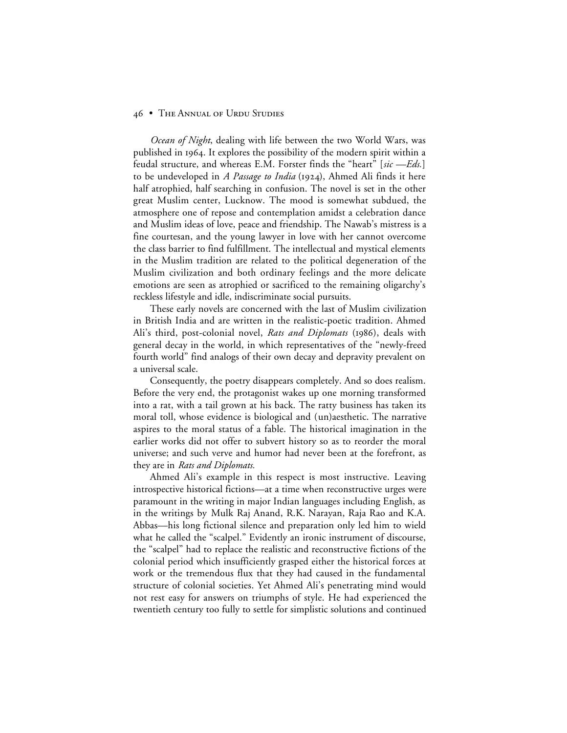## 46 • THE ANNUAL OF URDU STUDIES

*Ocean of Night*, dealing with life between the two World Wars, was published in 1964. It explores the possibility of the modern spirit within a feudal structure, and whereas E.M. Forster finds the "heart" [*sic —Eds.*] to be undeveloped in *A Passage to India* (1924), Ahmed Ali finds it here half atrophied, half searching in confusion. The novel is set in the other great Muslim center, Lucknow. The mood is somewhat subdued, the atmosphere one of repose and contemplation amidst a celebration dance and Muslim ideas of love, peace and friendship. The Nawab's mistress is a fine courtesan, and the young lawyer in love with her cannot overcome the class barrier to find fulfillment. The intellectual and mystical elements in the Muslim tradition are related to the political degeneration of the Muslim civilization and both ordinary feelings and the more delicate emotions are seen as atrophied or sacrificed to the remaining oligarchy's reckless lifestyle and idle, indiscriminate social pursuits.

These early novels are concerned with the last of Muslim civilization in British India and are written in the realistic-poetic tradition. Ahmed Ali's third, post-colonial novel, *Rats and Diplomats* (1986), deals with general decay in the world, in which representatives of the "newly-freed fourth world" find analogs of their own decay and depravity prevalent on a universal scale.

Consequently, the poetry disappears completely. And so does realism. Before the very end, the protagonist wakes up one morning transformed into a rat, with a tail grown at his back. The ratty business has taken its moral toll, whose evidence is biological and (un)aesthetic. The narrative aspires to the moral status of a fable. The historical imagination in the earlier works did not offer to subvert history so as to reorder the moral universe; and such verve and humor had never been at the forefront, as they are in *Rats and Diplomats.*

Ahmed Ali's example in this respect is most instructive. Leaving introspective historical fictions—at a time when reconstructive urges were paramount in the writing in major Indian languages including English, as in the writings by Mulk Raj Anand, R.K. Narayan, Raja Rao and K.A. Abbas—his long fictional silence and preparation only led him to wield what he called the "scalpel." Evidently an ironic instrument of discourse, the "scalpel" had to replace the realistic and reconstructive fictions of the colonial period which insufficiently grasped either the historical forces at work or the tremendous flux that they had caused in the fundamental structure of colonial societies. Yet Ahmed Ali's penetrating mind would not rest easy for answers on triumphs of style. He had experienced the twentieth century too fully to settle for simplistic solutions and continued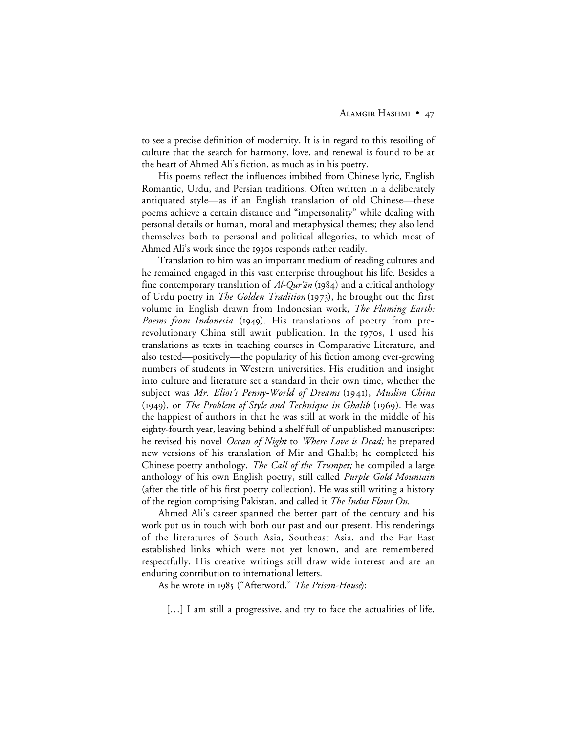to see a precise definition of modernity. It is in regard to this resoiling of culture that the search for harmony, love, and renewal is found to be at the heart of Ahmed Ali's fiction, as much as in his poetry.

His poems reflect the influences imbibed from Chinese lyric, English Romantic, Urdu, and Persian traditions. Often written in a deliberately antiquated style—as if an English translation of old Chinese—these poems achieve a certain distance and "impersonality" while dealing with personal details or human, moral and metaphysical themes; they also lend themselves both to personal and political allegories, to which most of Ahmed Ali's work since the 1930s responds rather readily.

Translation to him was an important medium of reading cultures and he remained engaged in this vast enterprise throughout his life. Besides a fine contemporary translation of  $Al-Qur\ddot{a}n$  (1984) and a critical anthology of Urdu poetry in *The Golden Tradition* (1973), he brought out the first volume in English drawn from Indonesian work, *The Flaming Earth:* Poems from Indonesia (1949). His translations of poetry from prerevolutionary China still await publication. In the 1970s, I used his translations as texts in teaching courses in Comparative Literature, and also tested—positively—the popularity of his fiction among ever-growing numbers of students in Western universities. His erudition and insight into culture and literature set a standard in their own time, whether the subject was *Mr. Eliot's Penny-World of Dreams* (1941), *Muslim China* (1949), or *The Problem of Style and Technique in Ghalib* (1969). He was the happiest of authors in that he was still at work in the middle of his eighty-fourth year, leaving behind a shelf full of unpublished manuscripts: he revised his novel *Ocean of Night* to *Where Love is Dead;* he prepared new versions of his translation of Mir and Ghalib; he completed his Chinese poetry anthology, *The Call of the Trumpet;* he compiled a large anthology of his own English poetry, still called *Purple Gold Mountain* (after the title of his first poetry collection). He was still writing a history of the region comprising Pakistan, and called it *The Indus Flows On.*

Ahmed Ali's career spanned the better part of the century and his work put us in touch with both our past and our present. His renderings of the literatures of South Asia, Southeast Asia, and the Far East established links which were not yet known, and are remembered respectfully. His creative writings still draw wide interest and are an enduring contribution to international letters.

As he wrote in 1985 ("Afterword," *The Prison-House*):

[...] I am still a progressive, and try to face the actualities of life,